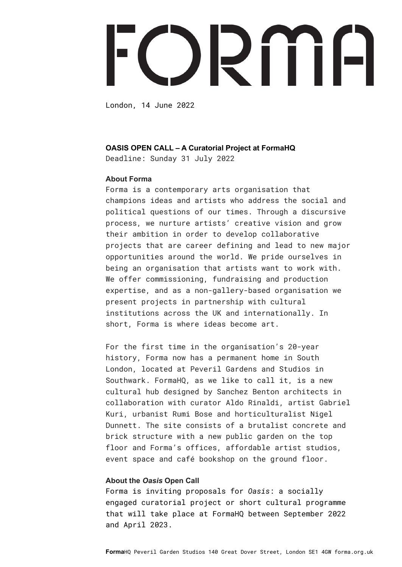# ORIIH

London, 14 June 2022

## **OASIS OPEN CALL – A Curatorial Project at FormaHQ**

Deadline: Sunday 31 July 2022

# **About Forma**

Forma is a contemporary arts organisation that champions ideas and artists who address the social and political questions of our times. Through a discursive process, we nurture artists' creative vision and grow their ambition in order to develop collaborative projects that are career defining and lead to new major opportunities around the world. We pride ourselves in being an organisation that artists want to work with. We offer commissioning, fundraising and production expertise, and as a non-gallery-based organisation we present projects in partnership with cultural institutions across the UK and internationally. In short, Forma is where ideas become art.

For the first time in the organisation's 20-year history, Forma now has a permanent home in South London, located at Peveril Gardens and Studios in Southwark. FormaHQ, as we like to call it, is a new cultural hub designed by Sanchez Benton architects in collaboration with curator Aldo Rinaldi, artist Gabriel Kuri, urbanist Rumi Bose and horticulturalist Nigel Dunnett. The site consists of a brutalist concrete and brick structure with a new public garden on the top floor and Forma's offices, affordable artist studios, event space and café bookshop on the ground floor.

# **About the** *Oasis* **Open Call**

Forma is inviting proposals for *Oasis*: a socially engaged curatorial project or short cultural programme that will take place at FormaHQ between September 2022 and April 2023.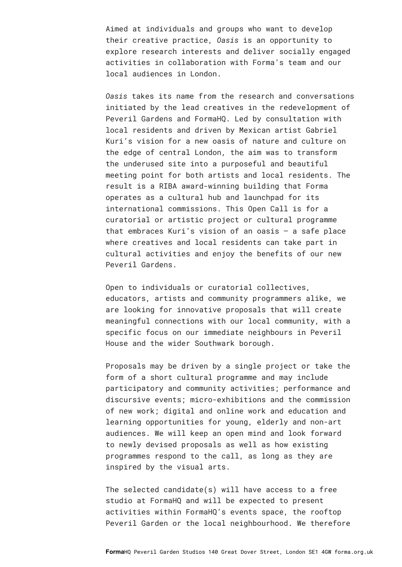Aimed at individuals and groups who want to develop their creative practice, *Oasis* is an opportunity to explore research interests and deliver socially engaged activities in collaboration with Forma's team and our local audiences in London.

*Oasis* takes its name from the research and conversations initiated by the lead creatives in the redevelopment of Peveril Gardens and FormaHQ. Led by consultation with local residents and driven by Mexican artist Gabriel Kuri's vision for a new oasis of nature and culture on the edge of central London, the aim was to transform the underused site into a purposeful and beautiful meeting point for both artists and local residents. The result is a RIBA award-winning building that Forma operates as a cultural hub and launchpad for its international commissions. This Open Call is for a curatorial or artistic project or cultural programme that embraces Kuri's vision of an oasis – a safe place where creatives and local residents can take part in cultural activities and enjoy the benefits of our new Peveril Gardens.

Open to individuals or curatorial collectives, educators, artists and community programmers alike, we are looking for innovative proposals that will create meaningful connections with our local community, with a specific focus on our immediate neighbours in Peveril House and the wider Southwark borough.

Proposals may be driven by a single project or take the form of a short cultural programme and may include participatory and community activities; performance and discursive events; micro-exhibitions and the commission of new work; digital and online work and education and learning opportunities for young, elderly and non-art audiences. We will keep an open mind and look forward to newly devised proposals as well as how existing programmes respond to the call, as long as they are inspired by the visual arts.

The selected candidate(s) will have access to a free studio at FormaHQ and will be expected to present activities within FormaHQ's events space, the rooftop Peveril Garden or the local neighbourhood. We therefore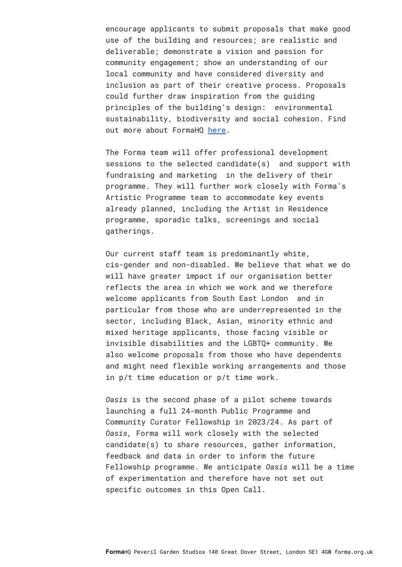encourage applicants to submit proposals that make good use of the building and resources; are realistic and deliverable; demonstrate a vision and passion for community engagement; show an understanding of our local community and have considered diversity and inclusion as part of their creative process. Proposals could further draw inspiration from the guiding principles of the building's design: environmental sustainability, biodiversity and social cohesion. Find out more about FormaHQ [here.](https://forma.org.uk/formahq/)

The Forma team will offer professional development sessions to the selected candidate(s) and support with fundraising and marketing in the delivery of their programme. They will further work closely with Forma's Artistic Programme team to accommodate key events already planned, including the Artist in Residence programme, sporadic talks, screenings and social gatherings.

Our current staff team is predominantly white, cis-gender and non-disabled. We believe that what we do will have greater impact if our organisation better reflects the area in which we work and we therefore welcome applicants from South East London and in particular from those who are underrepresented in the sector, including Black, Asian, minority ethnic and mixed heritage applicants, those facing visible or invisible disabilities and the LGBTQ+ community. We also welcome proposals from those who have dependents and might need flexible working arrangements and those in p/t time education or p/t time work.

*Oasis* is the second phase of a pilot scheme towards launching a full 24-month Public Programme and Community Curator Fellowship in 2023/24. As part of *Oasis,* Forma will work closely with the selected candidate(s) to share resources, gather information, feedback and data in order to inform the future Fellowship programme. We anticipate *Oasis* will be a time of experimentation and therefore have not set out specific outcomes in this Open Call.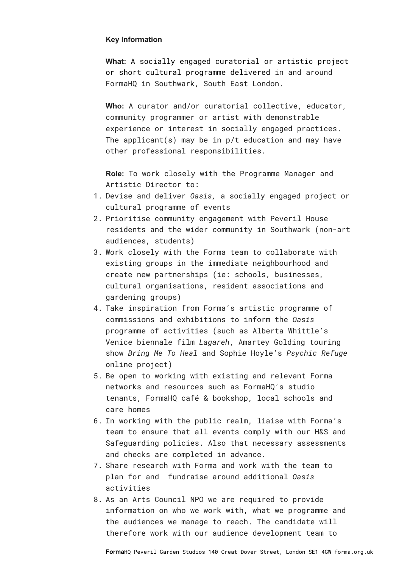# **Key Information**

**What:** A socially engaged curatorial or artistic project or short cultural programme delivered in and around FormaHQ in Southwark, South East London.

**Who:** A curator and/or curatorial collective, educator, community programmer or artist with demonstrable experience or interest in socially engaged practices. The applicant(s) may be in  $p/t$  education and may have other professional responsibilities.

**Role:** To work closely with the Programme Manager and Artistic Director to:

- 1. Devise and deliver *Oasis,* a socially engaged project or cultural programme of events
- 2. Prioritise community engagement with Peveril House residents and the wider community in Southwark (non-art audiences, students)
- 3. Work closely with the Forma team to collaborate with existing groups in the immediate neighbourhood and create new partnerships (ie: schools, businesses, cultural organisations, resident associations and gardening groups)
- 4. Take inspiration from Forma's artistic programme of commissions and exhibitions to inform the *Oasis* programme of activities (such as Alberta Whittle's Venice biennale film *Lagareh*, Amartey Golding touring show *Bring Me To Heal* and Sophie Hoyle's *Psychic Refuge* online project)
- 5. Be open to working with existing and relevant Forma networks and resources such as FormaHQ's studio tenants, FormaHQ café & bookshop, local schools and care homes
- 6. In working with the public realm, liaise with Forma's team to ensure that all events comply with our H&S and Safeguarding policies. Also that necessary assessments and checks are completed in advance.
- 7. Share research with Forma and work with the team to plan for and fundraise around additional *Oasis* activities
- 8. As an Arts Council NPO we are required to provide information on who we work with, what we programme and the audiences we manage to reach. The candidate will therefore work with our audience development team to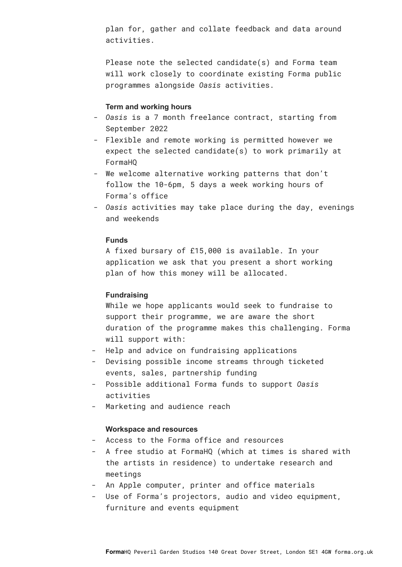plan for, gather and collate feedback and data around activities.

Please note the selected candidate(s) and Forma team will work closely to coordinate existing Forma public programmes alongside *Oasis* activities.

#### **Term and working hours**

- *Oasis* is a 7 month freelance contract, starting from September 2022
- Flexible and remote working is permitted however we expect the selected candidate(s) to work primarily at FormaHQ
- We welcome alternative working patterns that don't follow the 10-6pm, 5 days a week working hours of Forma's office
- *Oasis* activities may take place during the day, evenings and weekends

## **Funds**

A fixed bursary of £15,000 is available. In your application we ask that you present a short working plan of how this money will be allocated.

#### **Fundraising**

While we hope applicants would seek to fundraise to support their programme, we are aware the short duration of the programme makes this challenging. Forma will support with:

- Help and advice on fundraising applications
- Devising possible income streams through ticketed events, sales, partnership funding
- Possible additional Forma funds to support *Oasis* activities
- Marketing and audience reach

#### **Workspace and resources**

- Access to the Forma office and resources
- A free studio at FormaHQ (which at times is shared with the artists in residence) to undertake research and meetings
- An Apple computer, printer and office materials
- Use of Forma's projectors, audio and video equipment, furniture and events equipment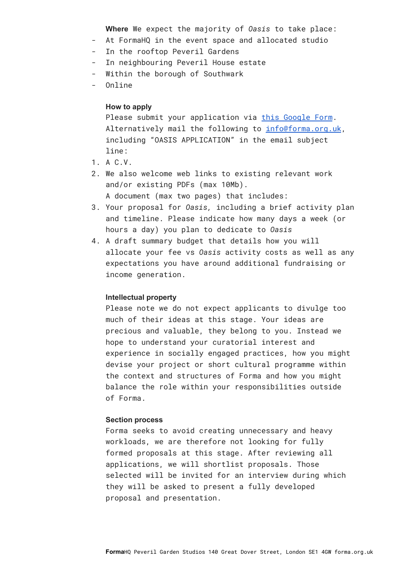**Where** We expect the majority of *Oasis* to take place:

- At FormaHQ in the event space and allocated studio
- In the rooftop Peveril Gardens
- In neighbouring Peveril House estate
- Within the borough of Southwark
- Online

# **How to apply**

Please submit your application via this [Google](https://docs.google.com/forms/d/e/1FAIpQLScyUtnnSaACJiTgbv57UdsOlkPNkQM_ZTJGdFGKtSonzVkniQ/viewform?usp=sf_link) Form. Alternatively mail the following to [info@forma.org.uk,](mailto:info@forma.org.uk) [including](mailto:info@forma.org.uk) "OASIS APPLICATION" in the email subject line:

- 1. A C.V.
- 2. We also welcome web links to existing relevant work and/or existing PDFs (max 10Mb).

A document (max two pages) that includes:

- 3. Your proposal for *Oasis,* including a brief activity plan and timeline. Please indicate how many days a week (or hours a day) you plan to dedicate to *Oasis*
- 4. A draft summary budget that details how you will allocate your fee vs *Oasis* activity costs as well as any expectations you have around additional fundraising or income generation.

# **Intellectual property**

Please note we do not expect applicants to divulge too much of their ideas at this stage. Your ideas are precious and valuable, they belong to you. Instead we hope to understand your curatorial interest and experience in socially engaged practices, how you might devise your project or short cultural programme within the context and structures of Forma and how you might balance the role within your responsibilities outside of Forma.

#### **Section process**

Forma seeks to avoid creating unnecessary and heavy workloads, we are therefore not looking for fully formed proposals at this stage. After reviewing all applications, we will shortlist proposals. Those selected will be invited for an interview during which they will be asked to present a fully developed proposal and presentation.